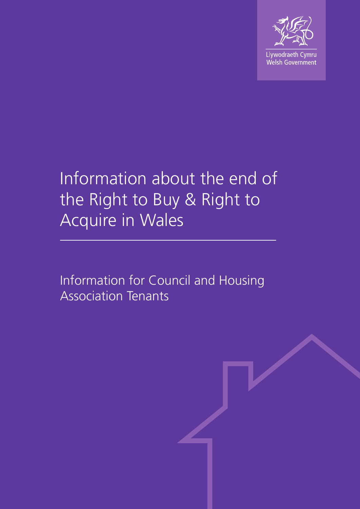

# Information about the end of the Right to Buy & Right to Acquire in Wales

Information for Council and Housing Association Tenants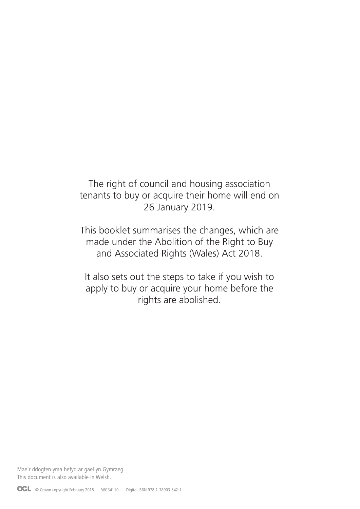The right of council and housing association tenants to buy or acquire their home will end on 26 January 2019.

This booklet summarises the changes, which are made under the Abolition of the Right to Buy and Associated Rights (Wales) Act 2018.

It also sets out the steps to take if you wish to apply to buy or acquire your home before the rights are abolished.

Mae'r ddogfen yma hefyd ar gael yn Gymraeg. This document is also available in Welsh.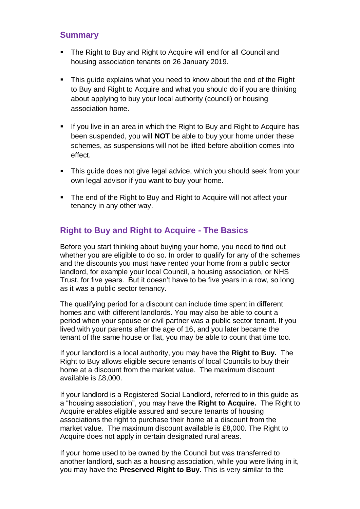## **Summary**

- The Right to Buy and Right to Acquire will end for all Council and housing association tenants on 26 January 2019.
- This guide explains what you need to know about the end of the Right to Buy and Right to Acquire and what you should do if you are thinking about applying to buy your local authority (council) or housing association home.
- **If you live in an area in which the Right to Buy and Right to Acquire has** been suspended, you will **NOT** be able to buy your home under these schemes, as suspensions will not be lifted before abolition comes into effect.
- **This guide does not give legal advice, which you should seek from your** own legal advisor if you want to buy your home.
- The end of the Right to Buy and Right to Acquire will not affect your tenancy in any other way.

## **Right to Buy and Right to Acquire - The Basics**

Before you start thinking about buying your home, you need to find out whether you are eligible to do so. In order to qualify for any of the schemes and the discounts you must have rented your home from a public sector landlord, for example your local Council, a housing association, or NHS Trust, for five years. But it doesn't have to be five years in a row, so long as it was a public sector tenancy.

The qualifying period for a discount can include time spent in different homes and with different landlords. You may also be able to count a period when your spouse or civil partner was a public sector tenant. If you lived with your parents after the age of 16, and you later became the tenant of the same house or flat, you may be able to count that time too.

If your landlord is a local authority, you may have the **Right to Buy.** The Right to Buy allows eligible secure tenants of local Councils to buy their home at a discount from the market value. The maximum discount available is £8,000.

If your landlord is a Registered Social Landlord, referred to in this guide as a "housing association", you may have the **Right to Acquire.** The Right to Acquire enables eligible assured and secure tenants of housing associations the right to purchase their home at a discount from the market value. The maximum discount available is £8,000. The Right to Acquire does not apply in certain designated rural areas.

If your home used to be owned by the Council but was transferred to another landlord, such as a housing association, while you were living in it, you may have the **Preserved Right to Buy.** This is very similar to the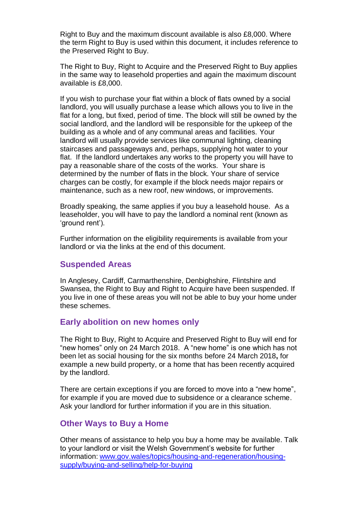Right to Buy and the maximum discount available is also £8,000. Where the term Right to Buy is used within this document, it includes reference to the Preserved Right to Buy.

The Right to Buy, Right to Acquire and the Preserved Right to Buy applies in the same way to leasehold properties and again the maximum discount available is £8,000.

If you wish to purchase your flat within a block of flats owned by a social landlord, you will usually purchase a lease which allows you to live in the flat for a long, but fixed, period of time. The block will still be owned by the social landlord, and the landlord will be responsible for the upkeep of the building as a whole and of any communal areas and facilities. Your landlord will usually provide services like communal lighting, cleaning staircases and passageways and, perhaps, supplying hot water to your flat. If the landlord undertakes any works to the property you will have to pay a reasonable share of the costs of the works. Your share is determined by the number of flats in the block. Your share of service charges can be costly, for example if the block needs major repairs or maintenance, such as a new roof, new windows, or improvements.

Broadly speaking, the same applies if you buy a leasehold house. As a leaseholder, you will have to pay the landlord a nominal rent (known as 'ground rent').

Further information on the eligibility requirements is available from your landlord or via the links at the end of this document.

#### **Suspended Areas**

In Anglesey, Cardiff, Carmarthenshire, Denbighshire, Flintshire and Swansea, the Right to Buy and Right to Acquire have been suspended. If you live in one of these areas you will not be able to buy your home under these schemes.

#### **Early abolition on new homes only**

The Right to Buy, Right to Acquire and Preserved Right to Buy will end for "new homes" only on 24 March 2018. A "new home" is one which has not been let as social housing for the six months before 24 March 2018**,** for example a new build property, or a home that has been recently acquired by the landlord.

There are certain exceptions if you are forced to move into a "new home", for example if you are moved due to subsidence or a clearance scheme. Ask your landlord for further information if you are in this situation.

#### **Other Ways to Buy a Home**

Other means of assistance to help you buy a home may be available. Talk to your landlord or visit the Welsh Government's website for further information: [www.gov.wales/topics/housing-and-regeneration/housing](http://www.gov.wales/topics/housing-and-regeneration/housing-supply/buying-and-selling/help-for-buying)[supply/buying-and-selling/help-for-buying](http://www.gov.wales/topics/housing-and-regeneration/housing-supply/buying-and-selling/help-for-buying)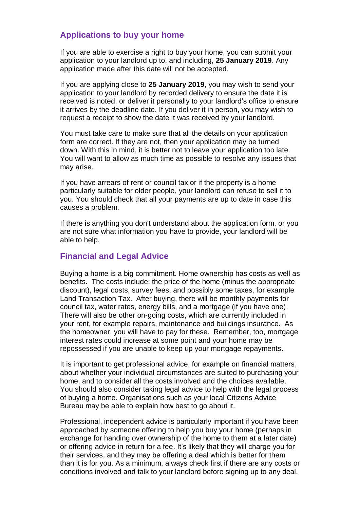### **Applications to buy your home**

If you are able to exercise a right to buy your home, you can submit your application to your landlord up to, and including, **25 January 2019**. Any application made after this date will not be accepted.

If you are applying close to **25 January 2019**, you may wish to send your application to your landlord by recorded delivery to ensure the date it is received is noted, or deliver it personally to your landlord's office to ensure it arrives by the deadline date. If you deliver it in person, you may wish to request a receipt to show the date it was received by your landlord.

You must take care to make sure that all the details on your application form are correct. If they are not, then your application may be turned down. With this in mind, it is better not to leave your application too late. You will want to allow as much time as possible to resolve any issues that may arise.

If you have arrears of rent or council tax or if the property is a home particularly suitable for older people, your landlord can refuse to sell it to you. You should check that all your payments are up to date in case this causes a problem.

If there is anything you don't understand about the application form, or you are not sure what information you have to provide, your landlord will be able to help.

## **Financial and Legal Advice**

Buying a home is a big commitment. Home ownership has costs as well as benefits. The costs include: the price of the home (minus the appropriate discount), legal costs, survey fees, and possibly some taxes, for example Land Transaction Tax. After buying, there will be monthly payments for council tax, water rates, energy bills, and a mortgage (if you have one). There will also be other on-going costs, which are currently included in your rent, for example repairs, maintenance and buildings insurance. As the homeowner, you will have to pay for these. Remember, too, mortgage interest rates could increase at some point and your home may be repossessed if you are unable to keep up your mortgage repayments.

It is important to get professional advice, for example on financial matters, about whether your individual circumstances are suited to purchasing your home, and to consider all the costs involved and the choices available. You should also consider taking legal advice to help with the legal process of buying a home. Organisations such as your local Citizens Advice Bureau may be able to explain how best to go about it.

Professional, independent advice is particularly important if you have been approached by someone offering to help you buy your home (perhaps in exchange for handing over ownership of the home to them at a later date) or offering advice in return for a fee. It's likely that they will charge you for their services, and they may be offering a deal which is better for them than it is for you. As a minimum, always check first if there are any costs or conditions involved and talk to your landlord before signing up to any deal.